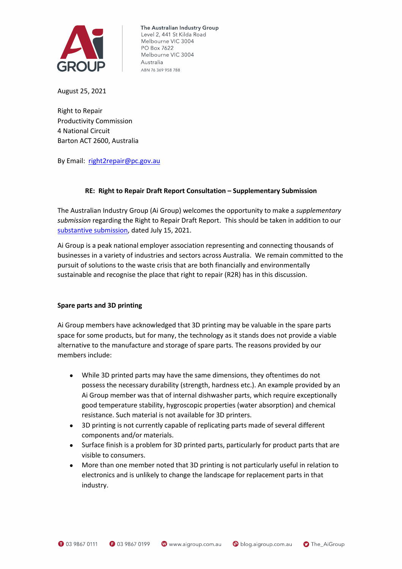

The Australian Industry Group Level 2, 441 St Kilda Road Melbourne VIC 3004 PO Box 7622 Melbourne VIC 3004 Australia ABN 76 369 958 788

August 25, 2021

Right to Repair Productivity Commission 4 National Circuit Barton ACT 2600, Australia

By Email: [right2repair@pc.gov.au](mailto:right2repair@pc.gov.au)

### **RE: Right to Repair Draft Report Consultation – Supplementary Submission**

The Australian Industry Group (Ai Group) welcomes the opportunity to make a *supplementary submission* regarding the Right to Repair Draft Report. This should be taken in addition to our [substantive submission,](https://cdn.aigroup.com.au/Submissions/Environment_and_Energy/2021/Right-to-Repair_Draft_Report_2021.pdf) dated July 15, 2021.

Ai Group is a peak national employer association representing and connecting thousands of businesses in a variety of industries and sectors across Australia. We remain committed to the pursuit of solutions to the waste crisis that are both financially and environmentally sustainable and recognise the place that right to repair (R2R) has in this discussion.

### **Spare parts and 3D printing**

Ai Group members have acknowledged that 3D printing may be valuable in the spare parts space for some products, but for many, the technology as it stands does not provide a viable alternative to the manufacture and storage of spare parts. The reasons provided by our members include:

- While 3D printed parts may have the same dimensions, they oftentimes do not possess the necessary durability (strength, hardness etc.). An example provided by an Ai Group member was that of internal dishwasher parts, which require exceptionally good temperature stability, hygroscopic properties (water absorption) and chemical resistance. Such material is not available for 3D printers.
- 3D printing is not currently capable of replicating parts made of several different components and/or materials.
- Surface finish is a problem for 3D printed parts, particularly for product parts that are visible to consumers.
- More than one member noted that 3D printing is not particularly useful in relation to electronics and is unlikely to change the landscape for replacement parts in that industry.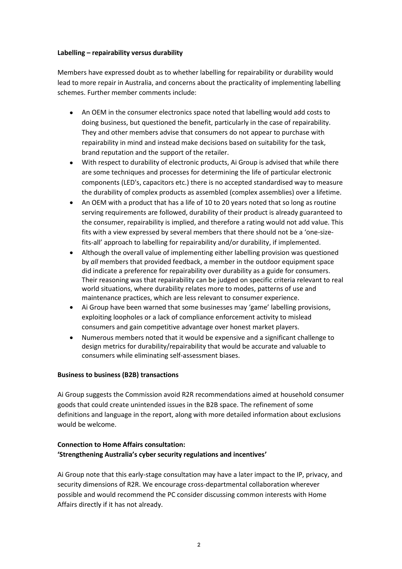### **Labelling – repairability versus durability**

Members have expressed doubt as to whether labelling for repairability or durability would lead to more repair in Australia, and concerns about the practicality of implementing labelling schemes. Further member comments include:

- An OEM in the consumer electronics space noted that labelling would add costs to doing business, but questioned the benefit, particularly in the case of repairability. They and other members advise that consumers do not appear to purchase with repairability in mind and instead make decisions based on suitability for the task, brand reputation and the support of the retailer.
- With respect to durability of electronic products, Ai Group is advised that while there are some techniques and processes for determining the life of particular electronic components (LED's, capacitors etc.) there is no accepted standardised way to measure the durability of complex products as assembled (complex assemblies) over a lifetime.
- An OEM with a product that has a life of 10 to 20 years noted that so long as routine serving requirements are followed, durability of their product is already guaranteed to the consumer, repairability is implied, and therefore a rating would not add value. This fits with a view expressed by several members that there should not be a 'one-sizefits-all' approach to labelling for repairability and/or durability, if implemented.
- Although the overall value of implementing either labelling provision was questioned by *all* members that provided feedback, a member in the outdoor equipment space did indicate a preference for repairability over durability as a guide for consumers. Their reasoning was that repairability can be judged on specific criteria relevant to real world situations, where durability relates more to modes, patterns of use and maintenance practices, which are less relevant to consumer experience.
- Ai Group have been warned that some businesses may 'game' labelling provisions, exploiting loopholes or a lack of compliance enforcement activity to mislead consumers and gain competitive advantage over honest market players.
- Numerous members noted that it would be expensive and a significant challenge to design metrics for durability/repairability that would be accurate and valuable to consumers while eliminating self-assessment biases.

# **Business to business (B2B) transactions**

Ai Group suggests the Commission avoid R2R recommendations aimed at household consumer goods that could create unintended issues in the B2B space. The refinement of some definitions and language in the report, along with more detailed information about exclusions would be welcome.

# **Connection to Home Affairs consultation: 'Strengthening Australia's cyber security regulations and incentives'**

Ai Group note that this early-stage consultation may have a later impact to the IP, privacy, and security dimensions of R2R. We encourage cross-departmental collaboration wherever possible and would recommend the PC consider discussing common interests with Home Affairs directly if it has not already.